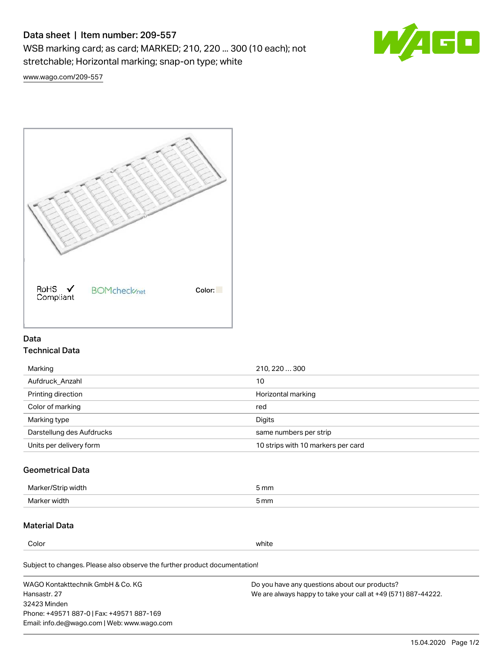# Data sheet | Item number: 209-557

WSB marking card; as card; MARKED; 210, 220 ... 300 (10 each); not stretchable; Horizontal marking; snap-on type; white



[www.wago.com/209-557](http://www.wago.com/209-557)



## Data Technical Data

| 210, 220  300                      |
|------------------------------------|
| 10                                 |
| Horizontal marking                 |
| red                                |
| Digits                             |
| same numbers per strip             |
| 10 strips with 10 markers per card |
|                                    |

# Geometrical Data

| طلقاء ئ<br><b>Marker</b><br>widtr | ັກmm |
|-----------------------------------|------|
| Marker width                      | 5 mm |

### Material Data

Color white

Subject to changes. Please also observe the further product documentation!

WAGO Kontakttechnik GmbH & Co. KG Hansastr. 27 32423 Minden Phone: +49571 887-0 | Fax: +49571 887-169 Email: info.de@wago.com | Web: www.wago.com Do you have any questions about our products? We are always happy to take your call at +49 (571) 887-44222.